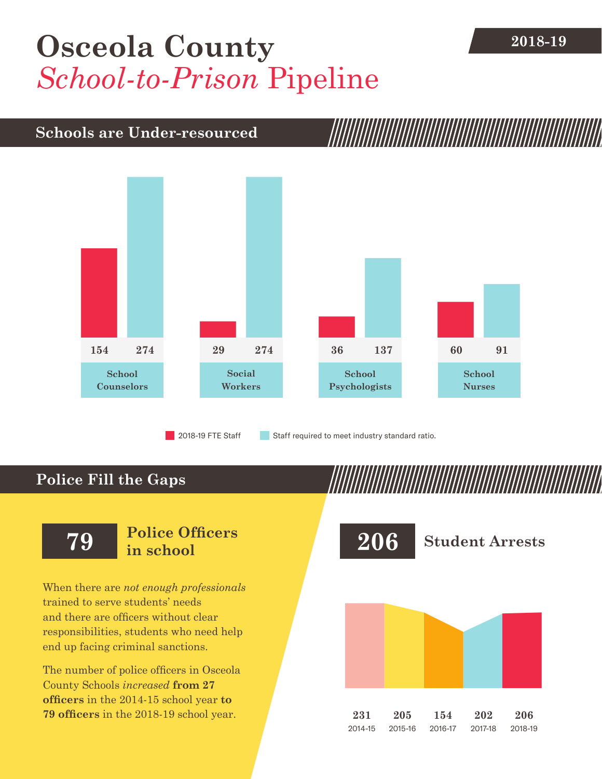## **[Osceola County](DBF_County)** 2018-19 *School-to-Prison* Pipeline

## **Schools are Under-resourced**



2018-19 FTE Staff **Staff required to meet industry standard ratio.** 

## **Police Fill the Gaps**

When there are *not enough professionals* trained to serve students' needs and there are officers without clear responsibilities, students who need help end up facing criminal sanctions.

The number of police officers in [Osceola](DBF_County)  [County](DBF_County) Schools *increased* **from [27](DBF_PO1415)  officers** in the 2014-15 school year **to [79](DBF_PO) officers** in the 2018-19 school year.